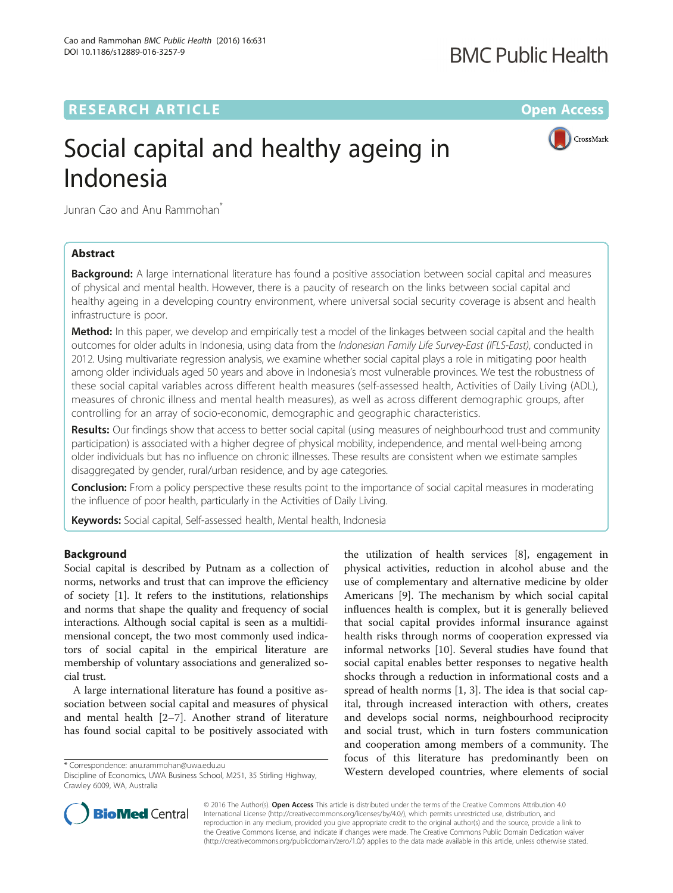# **BMC Public Health**

CrossMark

# **RESEARCH ARTICLE External Structure Community Community Community Community Community Community Community Community**

# Social capital and healthy ageing in Indonesia

Junran Cao and Anu Rammohan<sup>\*</sup>

# Abstract

**Background:** A large international literature has found a positive association between social capital and measures of physical and mental health. However, there is a paucity of research on the links between social capital and healthy ageing in a developing country environment, where universal social security coverage is absent and health infrastructure is poor.

Method: In this paper, we develop and empirically test a model of the linkages between social capital and the health outcomes for older adults in Indonesia, using data from the Indonesian Family Life Survey-East (IFLS-East), conducted in 2012. Using multivariate regression analysis, we examine whether social capital plays a role in mitigating poor health among older individuals aged 50 years and above in Indonesia's most vulnerable provinces. We test the robustness of these social capital variables across different health measures (self-assessed health, Activities of Daily Living (ADL), measures of chronic illness and mental health measures), as well as across different demographic groups, after controlling for an array of socio-economic, demographic and geographic characteristics.

Results: Our findings show that access to better social capital (using measures of neighbourhood trust and community participation) is associated with a higher degree of physical mobility, independence, and mental well-being among older individuals but has no influence on chronic illnesses. These results are consistent when we estimate samples disaggregated by gender, rural/urban residence, and by age categories.

**Conclusion:** From a policy perspective these results point to the importance of social capital measures in moderating the influence of poor health, particularly in the Activities of Daily Living.

Keywords: Social capital, Self-assessed health, Mental health, Indonesia

# Background

Social capital is described by Putnam as a collection of norms, networks and trust that can improve the efficiency of society [\[1](#page-13-0)]. It refers to the institutions, relationships and norms that shape the quality and frequency of social interactions. Although social capital is seen as a multidimensional concept, the two most commonly used indicators of social capital in the empirical literature are membership of voluntary associations and generalized social trust.

A large international literature has found a positive association between social capital and measures of physical and mental health [[2](#page-13-0)–[7](#page-13-0)]. Another strand of literature has found social capital to be positively associated with

the utilization of health services [[8\]](#page-13-0), engagement in physical activities, reduction in alcohol abuse and the use of complementary and alternative medicine by older Americans [[9\]](#page-13-0). The mechanism by which social capital influences health is complex, but it is generally believed that social capital provides informal insurance against health risks through norms of cooperation expressed via informal networks [[10\]](#page-13-0). Several studies have found that social capital enables better responses to negative health shocks through a reduction in informational costs and a spread of health norms [[1, 3](#page-13-0)]. The idea is that social capital, through increased interaction with others, creates and develops social norms, neighbourhood reciprocity and social trust, which in turn fosters communication and cooperation among members of a community. The focus of this literature has predominantly been on Western developed countries, where elements of social \* Correspondence: [anu.rammohan@uwa.edu.au](mailto:anu.rammohan@uwa.edu.au)



© 2016 The Author(s). Open Access This article is distributed under the terms of the Creative Commons Attribution 4.0 International License [\(http://creativecommons.org/licenses/by/4.0/](http://creativecommons.org/licenses/by/4.0/)), which permits unrestricted use, distribution, and reproduction in any medium, provided you give appropriate credit to the original author(s) and the source, provide a link to the Creative Commons license, and indicate if changes were made. The Creative Commons Public Domain Dedication waiver [\(http://creativecommons.org/publicdomain/zero/1.0/](http://creativecommons.org/publicdomain/zero/1.0/)) applies to the data made available in this article, unless otherwise stated.

Discipline of Economics, UWA Business School, M251, 35 Stirling Highway, Crawley 6009, WA, Australia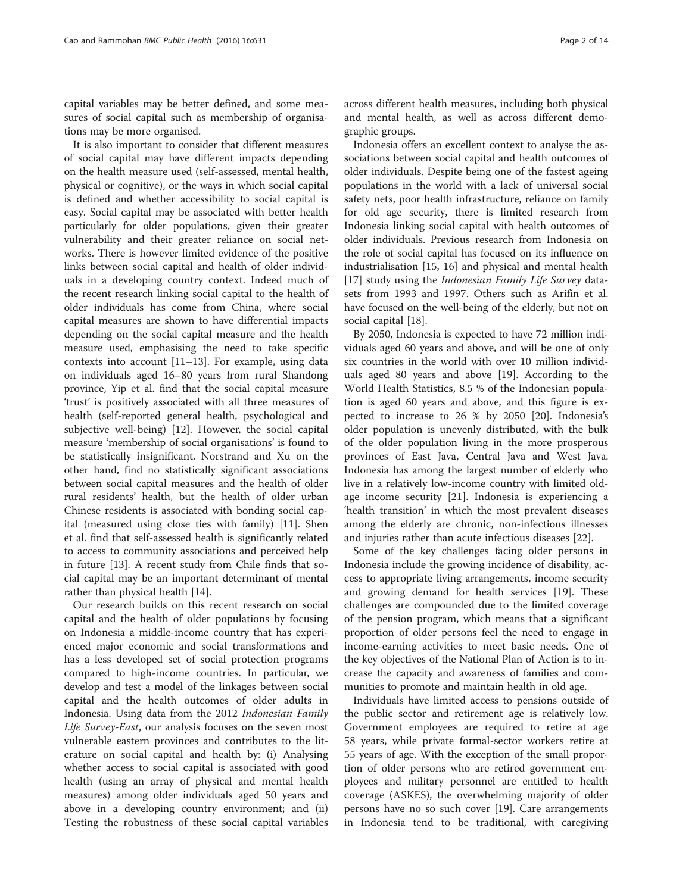capital variables may be better defined, and some measures of social capital such as membership of organisations may be more organised.

It is also important to consider that different measures of social capital may have different impacts depending on the health measure used (self-assessed, mental health, physical or cognitive), or the ways in which social capital is defined and whether accessibility to social capital is easy. Social capital may be associated with better health particularly for older populations, given their greater vulnerability and their greater reliance on social networks. There is however limited evidence of the positive links between social capital and health of older individuals in a developing country context. Indeed much of the recent research linking social capital to the health of older individuals has come from China, where social capital measures are shown to have differential impacts depending on the social capital measure and the health measure used, emphasising the need to take specific contexts into account [[11](#page-13-0)–[13](#page-13-0)]. For example, using data on individuals aged 16–80 years from rural Shandong province, Yip et al. find that the social capital measure 'trust' is positively associated with all three measures of health (self-reported general health, psychological and subjective well-being) [\[12](#page-13-0)]. However, the social capital measure 'membership of social organisations' is found to be statistically insignificant. Norstrand and Xu on the other hand, find no statistically significant associations between social capital measures and the health of older rural residents' health, but the health of older urban Chinese residents is associated with bonding social capital (measured using close ties with family) [\[11](#page-13-0)]. Shen et al. find that self-assessed health is significantly related to access to community associations and perceived help in future [\[13](#page-13-0)]. A recent study from Chile finds that social capital may be an important determinant of mental rather than physical health [\[14](#page-13-0)].

Our research builds on this recent research on social capital and the health of older populations by focusing on Indonesia a middle-income country that has experienced major economic and social transformations and has a less developed set of social protection programs compared to high-income countries. In particular, we develop and test a model of the linkages between social capital and the health outcomes of older adults in Indonesia. Using data from the 2012 Indonesian Family Life Survey-East, our analysis focuses on the seven most vulnerable eastern provinces and contributes to the literature on social capital and health by: (i) Analysing whether access to social capital is associated with good health (using an array of physical and mental health measures) among older individuals aged 50 years and above in a developing country environment; and (ii) Testing the robustness of these social capital variables

across different health measures, including both physical and mental health, as well as across different demographic groups.

Indonesia offers an excellent context to analyse the associations between social capital and health outcomes of older individuals. Despite being one of the fastest ageing populations in the world with a lack of universal social safety nets, poor health infrastructure, reliance on family for old age security, there is limited research from Indonesia linking social capital with health outcomes of older individuals. Previous research from Indonesia on the role of social capital has focused on its influence on industrialisation [[15, 16](#page-13-0)] and physical and mental health [[17\]](#page-13-0) study using the *Indonesian Family Life Survey* datasets from 1993 and 1997. Others such as Arifin et al. have focused on the well-being of the elderly, but not on social capital [\[18](#page-13-0)].

By 2050, Indonesia is expected to have 72 million individuals aged 60 years and above, and will be one of only six countries in the world with over 10 million individuals aged 80 years and above [[19\]](#page-13-0). According to the World Health Statistics, 8.5 % of the Indonesian population is aged 60 years and above, and this figure is expected to increase to 26 % by 2050 [[20](#page-13-0)]. Indonesia's older population is unevenly distributed, with the bulk of the older population living in the more prosperous provinces of East Java, Central Java and West Java. Indonesia has among the largest number of elderly who live in a relatively low-income country with limited oldage income security [[21](#page-13-0)]. Indonesia is experiencing a 'health transition' in which the most prevalent diseases among the elderly are chronic, non-infectious illnesses and injuries rather than acute infectious diseases [\[22](#page-13-0)].

Some of the key challenges facing older persons in Indonesia include the growing incidence of disability, access to appropriate living arrangements, income security and growing demand for health services [\[19\]](#page-13-0). These challenges are compounded due to the limited coverage of the pension program, which means that a significant proportion of older persons feel the need to engage in income-earning activities to meet basic needs. One of the key objectives of the National Plan of Action is to increase the capacity and awareness of families and communities to promote and maintain health in old age.

Individuals have limited access to pensions outside of the public sector and retirement age is relatively low. Government employees are required to retire at age 58 years, while private formal-sector workers retire at 55 years of age. With the exception of the small proportion of older persons who are retired government employees and military personnel are entitled to health coverage (ASKES), the overwhelming majority of older persons have no so such cover [[19\]](#page-13-0). Care arrangements in Indonesia tend to be traditional, with caregiving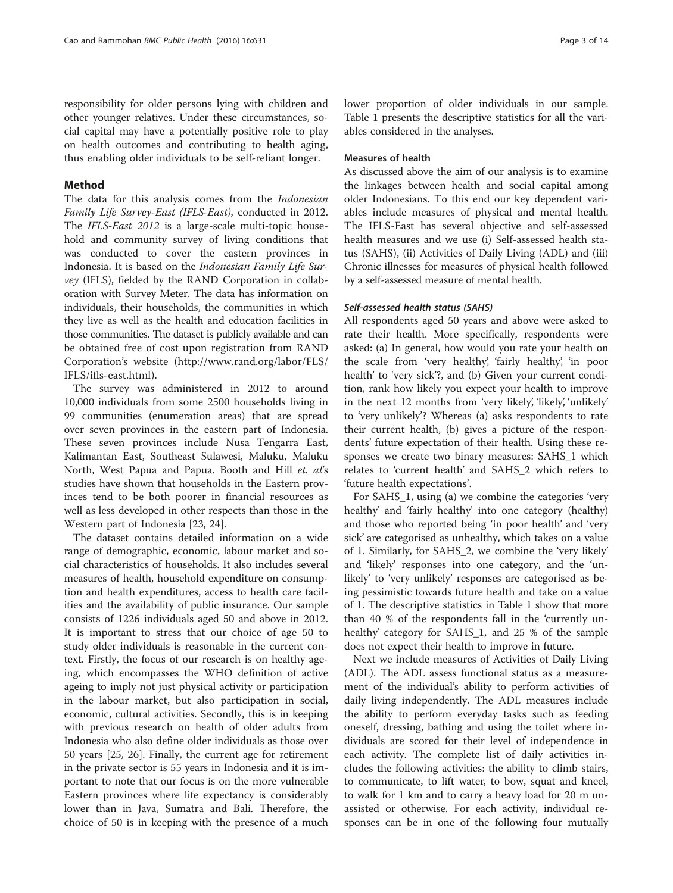responsibility for older persons lying with children and other younger relatives. Under these circumstances, social capital may have a potentially positive role to play on health outcomes and contributing to health aging, thus enabling older individuals to be self-reliant longer.

# Method

The data for this analysis comes from the *Indonesian* Family Life Survey-East (IFLS-East), conducted in 2012. The IFLS-East 2012 is a large-scale multi-topic household and community survey of living conditions that was conducted to cover the eastern provinces in Indonesia. It is based on the Indonesian Family Life Survey (IFLS), fielded by the RAND Corporation in collaboration with Survey Meter. The data has information on individuals, their households, the communities in which they live as well as the health and education facilities in those communities. The dataset is publicly available and can be obtained free of cost upon registration from RAND Corporation's website [\(http://www.rand.org/labor/FLS/](http://www.rand.org/labor/FLS/IFLS/ifls-east.html) [IFLS/ifls-east.html\)](http://www.rand.org/labor/FLS/IFLS/ifls-east.html).

The survey was administered in 2012 to around 10,000 individuals from some 2500 households living in 99 communities (enumeration areas) that are spread over seven provinces in the eastern part of Indonesia. These seven provinces include Nusa Tengarra East, Kalimantan East, Southeast Sulawesi, Maluku, Maluku North, West Papua and Papua. Booth and Hill et. al's studies have shown that households in the Eastern provinces tend to be both poorer in financial resources as well as less developed in other respects than those in the Western part of Indonesia [\[23](#page-13-0), [24](#page-13-0)].

The dataset contains detailed information on a wide range of demographic, economic, labour market and social characteristics of households. It also includes several measures of health, household expenditure on consumption and health expenditures, access to health care facilities and the availability of public insurance. Our sample consists of 1226 individuals aged 50 and above in 2012. It is important to stress that our choice of age 50 to study older individuals is reasonable in the current context. Firstly, the focus of our research is on healthy ageing, which encompasses the WHO definition of active ageing to imply not just physical activity or participation in the labour market, but also participation in social, economic, cultural activities. Secondly, this is in keeping with previous research on health of older adults from Indonesia who also define older individuals as those over 50 years [[25](#page-13-0), [26\]](#page-13-0). Finally, the current age for retirement in the private sector is 55 years in Indonesia and it is important to note that our focus is on the more vulnerable Eastern provinces where life expectancy is considerably lower than in Java, Sumatra and Bali. Therefore, the choice of 50 is in keeping with the presence of a much lower proportion of older individuals in our sample. Table [1](#page-3-0) presents the descriptive statistics for all the variables considered in the analyses.

# Measures of health

As discussed above the aim of our analysis is to examine the linkages between health and social capital among older Indonesians. To this end our key dependent variables include measures of physical and mental health. The IFLS-East has several objective and self-assessed health measures and we use (i) Self-assessed health status (SAHS), (ii) Activities of Daily Living (ADL) and (iii) Chronic illnesses for measures of physical health followed by a self-assessed measure of mental health.

# Self-assessed health status (SAHS)

All respondents aged 50 years and above were asked to rate their health. More specifically, respondents were asked: (a) In general, how would you rate your health on the scale from 'very healthy', 'fairly healthy', 'in poor health' to 'very sick'?, and (b) Given your current condition, rank how likely you expect your health to improve in the next 12 months from 'very likely', 'likely', 'unlikely' to 'very unlikely'? Whereas (a) asks respondents to rate their current health, (b) gives a picture of the respondents' future expectation of their health. Using these responses we create two binary measures: SAHS\_1 which relates to 'current health' and SAHS\_2 which refers to 'future health expectations'.

For SAHS\_1, using (a) we combine the categories 'very healthy' and 'fairly healthy' into one category (healthy) and those who reported being 'in poor health' and 'very sick' are categorised as unhealthy, which takes on a value of 1. Similarly, for SAHS\_2, we combine the 'very likely' and 'likely' responses into one category, and the 'unlikely' to 'very unlikely' responses are categorised as being pessimistic towards future health and take on a value of 1. The descriptive statistics in Table [1](#page-3-0) show that more than 40 % of the respondents fall in the 'currently unhealthy' category for SAHS\_1, and 25 % of the sample does not expect their health to improve in future.

Next we include measures of Activities of Daily Living (ADL). The ADL assess functional status as a measurement of the individual's ability to perform activities of daily living independently. The ADL measures include the ability to perform everyday tasks such as feeding oneself, dressing, bathing and using the toilet where individuals are scored for their level of independence in each activity. The complete list of daily activities includes the following activities: the ability to climb stairs, to communicate, to lift water, to bow, squat and kneel, to walk for 1 km and to carry a heavy load for 20 m unassisted or otherwise. For each activity, individual responses can be in one of the following four mutually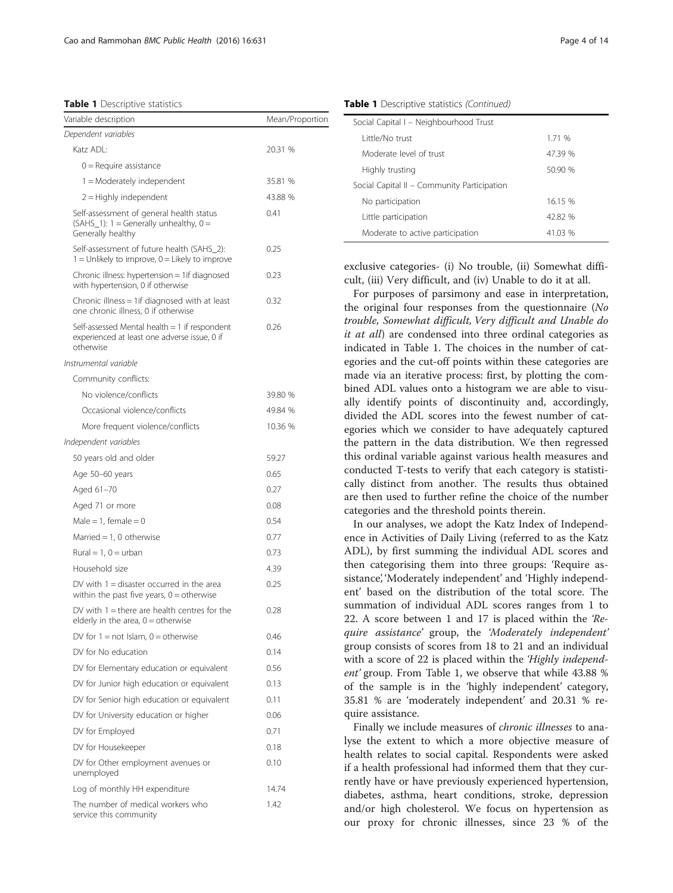#### <span id="page-3-0"></span>Table 1 Descriptive statistics

| Variable description                                                                                         | Mean/Proportion |
|--------------------------------------------------------------------------------------------------------------|-----------------|
| Dependent variables                                                                                          |                 |
| Katz ADL:                                                                                                    | 20.31 %         |
| $0 =$ Require assistance                                                                                     |                 |
| $1 =$ Moderately independent                                                                                 | 35.81 %         |
| $2 =$ Highly independent                                                                                     | 43.88 %         |
| Self-assessment of general health status<br>$(SAHS_1): 1 = Generally$ unhealthy, $0 =$<br>Generally healthy  | 0.41            |
| Self-assessment of future health (SAHS_2):<br>$1 =$ Unlikely to improve, $0 =$ Likely to improve             | 0.25            |
| Chronic illness: hypertension = 1 if diagnosed<br>with hypertension, 0 if otherwise                          | 0.23            |
| Chronic illness $= 1$ if diagnosed with at least<br>one chronic illness, 0 if otherwise                      | 0.32            |
| Self-assessed Mental health $= 1$ if respondent<br>experienced at least one adverse issue, 0 if<br>otherwise | 0.26            |
| Instrumental variable                                                                                        |                 |
| Community conflicts:                                                                                         |                 |
| No violence/conflicts                                                                                        | 39.80 %         |
| Occasional violence/conflicts                                                                                | 49.84 %         |
| More frequent violence/conflicts                                                                             | 10.36 %         |
| Independent variables                                                                                        |                 |
| 50 years old and older                                                                                       | 59.27           |
| Age 50–60 years                                                                                              | 0.65            |
| Aged 61-70                                                                                                   | 0.27            |
| Aged 71 or more                                                                                              | 0.08            |
| Male = $1$ , female = 0                                                                                      | 0.54            |
| Married $= 1, 0$ otherwise                                                                                   | 0.77            |
| $Rural = 1, 0 = urban$                                                                                       | 0.73            |
| Household size                                                                                               | 4.39            |
| DV with $1 =$ disaster occurred in the area<br>within the past five years, $0 =$ otherwise                   | 0.25            |
| DV with $1 =$ there are health centres for the<br>elderly in the area, $0 =$ otherwise                       | 0.28            |
| DV for $1 = not$ Islam, $0 = other$ otherwise                                                                | 0.46            |
| DV for No education                                                                                          | 0.14            |
| DV for Elementary education or equivalent                                                                    | 0.56            |
| DV for Junior high education or equivalent                                                                   | 0.13            |
| DV for Senior high education or equivalent                                                                   | 0.11            |
| DV for University education or higher                                                                        | 0.06            |
| DV for Employed                                                                                              | 0.71            |
| DV for Housekeeper                                                                                           | 0.18            |
| DV for Other employment avenues or<br>unemployed                                                             | 0.10            |
| Log of monthly HH expenditure                                                                                | 14.74           |
| The number of medical workers who<br>service this community                                                  | 1.42            |

Table 1 Descriptive statistics (Continued)

| Social Capital I - Neighbourhood Trust      |         |
|---------------------------------------------|---------|
| Little/No trust                             | 1.71 %  |
| Moderate level of trust                     | 47.39 % |
| Highly trusting                             | 50.90 % |
| Social Capital II - Community Participation |         |
| No participation                            | 1615%   |
| Little participation                        | 42.82 % |
| Moderate to active participation            | 41.03 % |

exclusive categories- (i) No trouble, (ii) Somewhat difficult, (iii) Very difficult, and (iv) Unable to do it at all.

For purposes of parsimony and ease in interpretation, the original four responses from the questionnaire (No trouble, Somewhat difficult, Very difficult and Unable do it at all) are condensed into three ordinal categories as indicated in Table 1. The choices in the number of categories and the cut-off points within these categories are made via an iterative process: first, by plotting the combined ADL values onto a histogram we are able to visually identify points of discontinuity and, accordingly, divided the ADL scores into the fewest number of categories which we consider to have adequately captured the pattern in the data distribution. We then regressed this ordinal variable against various health measures and conducted T-tests to verify that each category is statistically distinct from another. The results thus obtained are then used to further refine the choice of the number categories and the threshold points therein.

In our analyses, we adopt the Katz Index of Independence in Activities of Daily Living (referred to as the Katz ADL), by first summing the individual ADL scores and then categorising them into three groups: 'Require assistance', 'Moderately independent' and 'Highly independent' based on the distribution of the total score. The summation of individual ADL scores ranges from 1 to 22. A score between 1 and 17 is placed within the 'Require assistance' group, the 'Moderately independent' group consists of scores from 18 to 21 and an individual with a score of 22 is placed within the 'Highly independent' group. From Table 1, we observe that while 43.88 % of the sample is in the 'highly independent' category, 35.81 % are 'moderately independent' and 20.31 % require assistance.

Finally we include measures of chronic illnesses to analyse the extent to which a more objective measure of health relates to social capital. Respondents were asked if a health professional had informed them that they currently have or have previously experienced hypertension, diabetes, asthma, heart conditions, stroke, depression and/or high cholesterol. We focus on hypertension as our proxy for chronic illnesses, since 23 % of the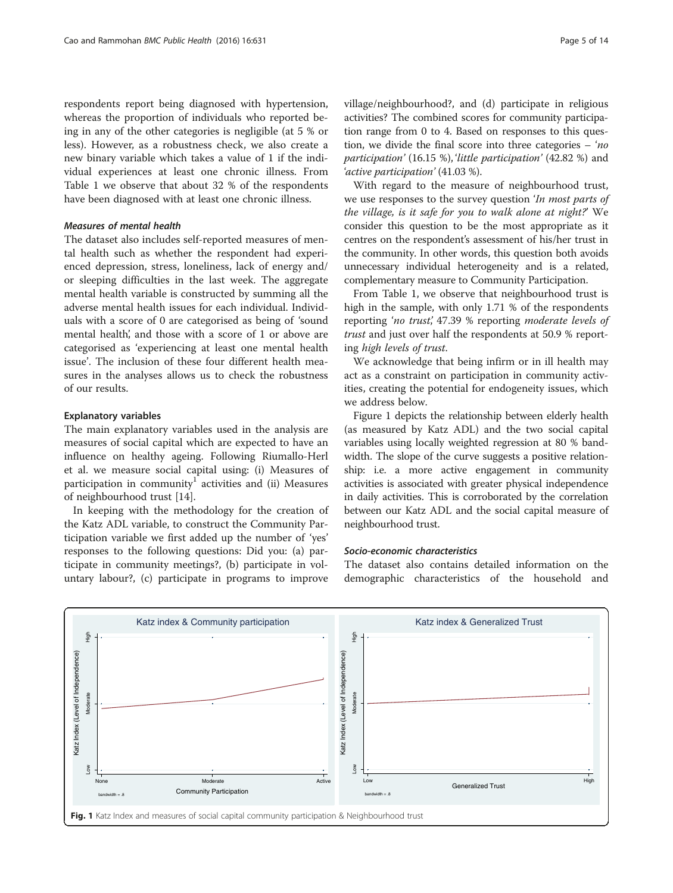respondents report being diagnosed with hypertension, whereas the proportion of individuals who reported being in any of the other categories is negligible (at 5 % or less). However, as a robustness check, we also create a new binary variable which takes a value of 1 if the individual experiences at least one chronic illness. From Table [1](#page-3-0) we observe that about 32 % of the respondents have been diagnosed with at least one chronic illness.

## Measures of mental health

The dataset also includes self-reported measures of mental health such as whether the respondent had experienced depression, stress, loneliness, lack of energy and/ or sleeping difficulties in the last week. The aggregate mental health variable is constructed by summing all the adverse mental health issues for each individual. Individuals with a score of 0 are categorised as being of 'sound mental health', and those with a score of 1 or above are categorised as 'experiencing at least one mental health issue'. The inclusion of these four different health measures in the analyses allows us to check the robustness of our results.

#### Explanatory variables

The main explanatory variables used in the analysis are measures of social capital which are expected to have an influence on healthy ageing. Following Riumallo-Herl et al. we measure social capital using: (i) Measures of participation in community<sup>1</sup> activities and (ii) Measures of neighbourhood trust [\[14\]](#page-13-0).

In keeping with the methodology for the creation of the Katz ADL variable, to construct the Community Participation variable we first added up the number of 'yes' responses to the following questions: Did you: (a) participate in community meetings?, (b) participate in voluntary labour?, (c) participate in programs to improve

village/neighbourhood?, and (d) participate in religious activities? The combined scores for community participation range from 0 to 4. Based on responses to this question, we divide the final score into three categories – ' $no$ participation' (16.15 %), 'little participation' (42.82 %) and 'active participation' (41.03 %).

With regard to the measure of neighbourhood trust, we use responses to the survey question 'In most parts of the village, is it safe for you to walk alone at night?' We consider this question to be the most appropriate as it centres on the respondent's assessment of his/her trust in the community. In other words, this question both avoids unnecessary individual heterogeneity and is a related, complementary measure to Community Participation.

From Table [1,](#page-3-0) we observe that neighbourhood trust is high in the sample, with only 1.71 % of the respondents reporting 'no trust', 47.39 % reporting moderate levels of trust and just over half the respondents at 50.9 % reporting high levels of trust.

We acknowledge that being infirm or in ill health may act as a constraint on participation in community activities, creating the potential for endogeneity issues, which we address below.

Figure 1 depicts the relationship between elderly health (as measured by Katz ADL) and the two social capital variables using locally weighted regression at 80 % bandwidth. The slope of the curve suggests a positive relationship: i.e. a more active engagement in community activities is associated with greater physical independence in daily activities. This is corroborated by the correlation between our Katz ADL and the social capital measure of neighbourhood trust.

#### Socio-economic characteristics

The dataset also contains detailed information on the demographic characteristics of the household and

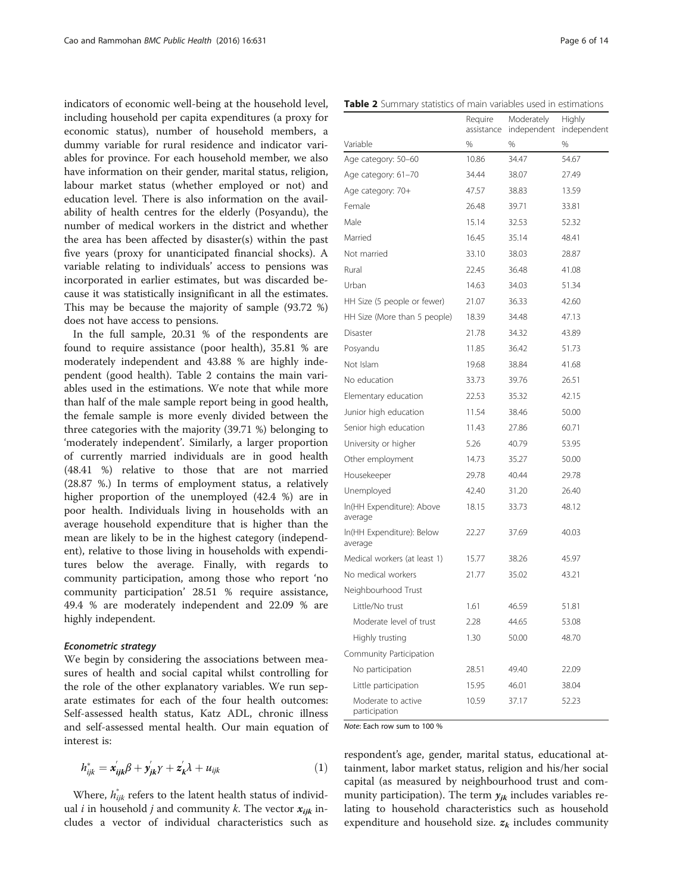<span id="page-5-0"></span>indicators of economic well-being at the household level, including household per capita expenditures (a proxy for economic status), number of household members, a dummy variable for rural residence and indicator variables for province. For each household member, we also have information on their gender, marital status, religion, labour market status (whether employed or not) and education level. There is also information on the availability of health centres for the elderly (Posyandu), the number of medical workers in the district and whether the area has been affected by disaster(s) within the past five years (proxy for unanticipated financial shocks). A variable relating to individuals' access to pensions was incorporated in earlier estimates, but was discarded because it was statistically insignificant in all the estimates. This may be because the majority of sample (93.72 %) does not have access to pensions.

In the full sample, 20.31 % of the respondents are found to require assistance (poor health), 35.81 % are moderately independent and 43.88 % are highly independent (good health). Table 2 contains the main variables used in the estimations. We note that while more than half of the male sample report being in good health, the female sample is more evenly divided between the three categories with the majority (39.71 %) belonging to 'moderately independent'. Similarly, a larger proportion of currently married individuals are in good health (48.41 %) relative to those that are not married (28.87 %.) In terms of employment status, a relatively higher proportion of the unemployed (42.4 %) are in poor health. Individuals living in households with an average household expenditure that is higher than the mean are likely to be in the highest category (independent), relative to those living in households with expenditures below the average. Finally, with regards to community participation, among those who report 'no community participation' 28.51 % require assistance, 49.4 % are moderately independent and 22.09 % are highly independent.

#### Econometric strategy

We begin by considering the associations between measures of health and social capital whilst controlling for the role of the other explanatory variables. We run separate estimates for each of the four health outcomes: Self-assessed health status, Katz ADL, chronic illness and self-assessed mental health. Our main equation of interest is:

$$
h_{ijk}^* = \mathbf{x}_{ijk}'\beta + \mathbf{y}_{jk}'\gamma + \mathbf{z}_k'\lambda + u_{ijk}
$$
 (1)

Where,  $h_{ijk}^*$  refers to the latent health status of individual *i* in household *j* and community *k*. The vector  $x_{ijk}$  includes a vector of individual characteristics such as

| <b>Table 2</b> Summary statistics of main variables used in estimations |  |  |  |  |  |
|-------------------------------------------------------------------------|--|--|--|--|--|
|-------------------------------------------------------------------------|--|--|--|--|--|

|                                      | Require<br>assistance | Moderately<br>independent | Highly<br>independent |
|--------------------------------------|-----------------------|---------------------------|-----------------------|
| Variable                             | $\%$                  | %                         | %                     |
| Age category: 50-60                  | 10.86                 | 34.47                     | 54.67                 |
| Age category: 61-70                  | 34.44                 | 38.07                     | 27.49                 |
| Age category: 70+                    | 47.57                 | 38.83                     | 13.59                 |
| Female                               | 26.48                 | 39.71                     | 33.81                 |
| Male                                 | 15.14                 | 32.53                     | 52.32                 |
| Married                              | 16.45                 | 35.14                     | 48.41                 |
| Not married                          | 33.10                 | 38.03                     | 28.87                 |
| Rural                                | 22.45                 | 36.48                     | 41.08                 |
| Urban                                | 14.63                 | 34.03                     | 51.34                 |
| HH Size (5 people or fewer)          | 21.07                 | 36.33                     | 42.60                 |
| HH Size (More than 5 people)         | 18.39                 | 34.48                     | 47.13                 |
| Disaster                             | 21.78                 | 34.32                     | 43.89                 |
| Posyandu                             | 11.85                 | 36.42                     | 51.73                 |
| Not Islam                            | 19.68                 | 38.84                     | 41.68                 |
| No education                         | 33.73                 | 39.76                     | 26.51                 |
| Elementary education                 | 22.53                 | 35.32                     | 42.15                 |
| Junior high education                | 11.54                 | 38.46                     | 50.00                 |
| Senior high education                | 11.43                 | 27.86                     | 60.71                 |
| University or higher                 | 5.26                  | 40.79                     | 53.95                 |
| Other employment                     | 14.73                 | 35.27                     | 50.00                 |
| Housekeeper                          | 29.78                 | 40.44                     | 29.78                 |
| Unemployed                           | 42.40                 | 31.20                     | 26.40                 |
| In(HH Expenditure): Above<br>average | 18.15                 | 33.73                     | 48.12                 |
| In(HH Expenditure): Below<br>average | 22.27                 | 37.69                     | 40.03                 |
| Medical workers (at least 1)         | 15.77                 | 38.26                     | 45.97                 |
| No medical workers                   | 21.77                 | 35.02                     | 43.21                 |
| Neighbourhood Trust                  |                       |                           |                       |
| l ittle/No trust                     | 1.61                  | 46.59                     | 51.81                 |
| Moderate level of trust              | 2.28                  | 44.65                     | 53.08                 |
| Highly trusting                      | 1.30                  | 50.00                     | 48.70                 |
| Community Participation              |                       |                           |                       |
| No participation                     | 28.51                 | 49.40                     | 22.09                 |
| Little participation                 | 15.95                 | 46.01                     | 38.04                 |
| Moderate to active<br>participation  | 10.59                 | 37.17                     | 52.23                 |

Note: Each row sum to 100 %

respondent's age, gender, marital status, educational attainment, labor market status, religion and his/her social capital (as measured by neighbourhood trust and community participation). The term  $y_{ik}$  includes variables relating to household characteristics such as household expenditure and household size.  $z_k$  includes community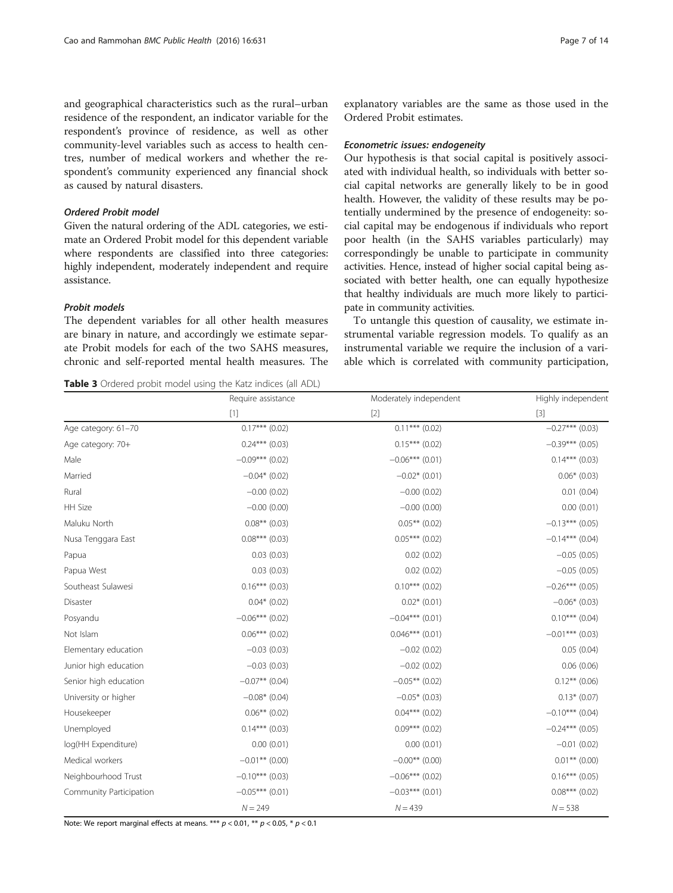<span id="page-6-0"></span>and geographical characteristics such as the rural–urban residence of the respondent, an indicator variable for the respondent's province of residence, as well as other community-level variables such as access to health centres, number of medical workers and whether the respondent's community experienced any financial shock as caused by natural disasters.

# Ordered Probit model

Given the natural ordering of the ADL categories, we estimate an Ordered Probit model for this dependent variable where respondents are classified into three categories: highly independent, moderately independent and require assistance.

# Probit models

The dependent variables for all other health measures are binary in nature, and accordingly we estimate separate Probit models for each of the two SAHS measures, chronic and self-reported mental health measures. The

Table 3 Ordered probit model using the Katz indices (all ADL)

explanatory variables are the same as those used in the Ordered Probit estimates.

#### Econometric issues: endogeneity

Our hypothesis is that social capital is positively associated with individual health, so individuals with better social capital networks are generally likely to be in good health. However, the validity of these results may be potentially undermined by the presence of endogeneity: social capital may be endogenous if individuals who report poor health (in the SAHS variables particularly) may correspondingly be unable to participate in community activities. Hence, instead of higher social capital being associated with better health, one can equally hypothesize that healthy individuals are much more likely to participate in community activities.

To untangle this question of causality, we estimate instrumental variable regression models. To qualify as an instrumental variable we require the inclusion of a variable which is correlated with community participation,

|                         | Require assistance<br>Moderately independent |                   | Highly independent |  |
|-------------------------|----------------------------------------------|-------------------|--------------------|--|
|                         | $[1]$                                        | $[2]$             | $[3]$              |  |
| Age category: 61-70     | $0.17***$ (0.02)                             | $0.11***$ (0.02)  | $-0.27***$ (0.03)  |  |
| Age category: 70+       | $0.24***$ (0.03)                             | $0.15***$ (0.02)  | $-0.39***$ (0.05)  |  |
| Male                    | $-0.09***$ (0.02)                            | $-0.06***$ (0.01) | $0.14***$ (0.03)   |  |
| Married                 | $-0.04*$ (0.02)                              | $-0.02*$ (0.01)   | $0.06*$ (0.03)     |  |
| Rural                   | $-0.00$ (0.02)                               | $-0.00$ (0.02)    | 0.01(0.04)         |  |
| HH Size                 | $-0.00$ (0.00)                               | $-0.00$ (0.00)    | 0.00(0.01)         |  |
| Maluku North            | $0.08**$ (0.03)                              | $0.05***$ (0.02)  | $-0.13***$ (0.05)  |  |
| Nusa Tenggara East      | $0.08***$ (0.03)                             | $0.05***$ (0.02)  | $-0.14***$ (0.04)  |  |
| Papua                   | 0.03(0.03)                                   | 0.02(0.02)        | $-0.05(0.05)$      |  |
| Papua West              | 0.03(0.03)                                   | 0.02(0.02)        | $-0.05(0.05)$      |  |
| Southeast Sulawesi      | $0.16***$ (0.03)                             | $0.10***$ (0.02)  | $-0.26***$ (0.05)  |  |
| Disaster                | $0.04*$ (0.02)                               | $0.02*$ (0.01)    | $-0.06*$ (0.03)    |  |
| Posyandu                | $-0.06***$ (0.02)                            | $-0.04***$ (0.01) | $0.10***$ (0.04)   |  |
| Not Islam               | $0.06***$ (0.02)                             | $0.046***$ (0.01) | $-0.01***$ (0.03)  |  |
| Elementary education    | $-0.03(0.03)$                                | $-0.02(0.02)$     | 0.05(0.04)         |  |
| Junior high education   | $-0.03(0.03)$                                | $-0.02(0.02)$     | 0.06(0.06)         |  |
| Senior high education   | $-0.07**$ (0.04)                             | $-0.05***$ (0.02) | $0.12***$ (0.06)   |  |
| University or higher    | $-0.08*$ (0.04)                              | $-0.05*$ (0.03)   | $0.13*(0.07)$      |  |
| Housekeeper             | $0.06**$ (0.02)                              | $0.04***$ (0.02)  | $-0.10***$ (0.04)  |  |
| Unemployed              | $0.14***$ (0.03)                             | $0.09***$ (0.02)  | $-0.24***$ (0.05)  |  |
| log(HH Expenditure)     | 0.00(0.01)                                   | 0.00(0.01)        | $-0.01(0.02)$      |  |
| Medical workers         | $-0.01**$ (0.00)                             | $-0.00***$ (0.00) | $0.01***$ (0.00)   |  |
| Neighbourhood Trust     | $-0.10***$ (0.03)                            | $-0.06***$ (0.02) | $0.16***$ (0.05)   |  |
| Community Participation | $-0.05***$ (0.01)                            | $-0.03***$ (0.01) | $0.08***$ (0.02)   |  |
|                         | $N = 249$                                    | $N = 439$         | $N = 538$          |  |

Note: We report marginal effects at means. \*\*\*  $p < 0.01$ , \*\*  $p < 0.05$ , \*  $p < 0.1$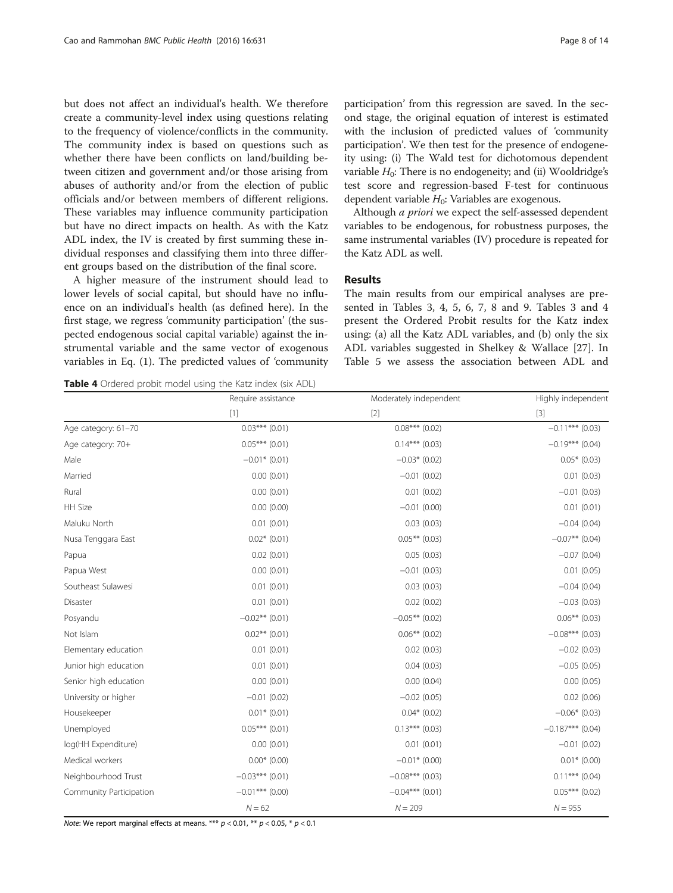<span id="page-7-0"></span>but does not affect an individual's health. We therefore create a community-level index using questions relating to the frequency of violence/conflicts in the community. The community index is based on questions such as whether there have been conflicts on land/building between citizen and government and/or those arising from abuses of authority and/or from the election of public officials and/or between members of different religions. These variables may influence community participation but have no direct impacts on health. As with the Katz ADL index, the IV is created by first summing these individual responses and classifying them into three different groups based on the distribution of the final score.

A higher measure of the instrument should lead to lower levels of social capital, but should have no influence on an individual's health (as defined here). In the first stage, we regress 'community participation' (the suspected endogenous social capital variable) against the instrumental variable and the same vector of exogenous variables in Eq. ([1](#page-5-0)). The predicted values of 'community test score and regression-based F-test for continuous dependent variable  $H_0$ : Variables are exogenous. Although a priori we expect the self-assessed dependent

variables to be endogenous, for robustness purposes, the same instrumental variables (IV) procedure is repeated for the Katz ADL as well.

participation' from this regression are saved. In the second stage, the original equation of interest is estimated with the inclusion of predicted values of 'community participation'. We then test for the presence of endogeneity using: (i) The Wald test for dichotomous dependent variable  $H_0$ : There is no endogeneity; and (ii) Wooldridge's

# Results

The main results from our empirical analyses are presented in Tables [3,](#page-6-0) 4, [5,](#page-8-0) [6](#page-9-0), [7](#page-10-0), [8](#page-11-0) and [9](#page-11-0). Tables [3](#page-6-0) and 4 present the Ordered Probit results for the Katz index using: (a) all the Katz ADL variables, and (b) only the six ADL variables suggested in Shelkey & Wallace [[27](#page-13-0)]. In Table [5](#page-8-0) we assess the association between ADL and

Table 4 Ordered probit model using the Katz index (six ADL)

|                         | Require assistance | Moderately independent | Highly independent |
|-------------------------|--------------------|------------------------|--------------------|
|                         | $[1]$              | $[2]$                  | $[3]$              |
| Age category: 61-70     | $0.03***$ (0.01)   | $0.08***$ (0.02)       | $-0.11***$ (0.03)  |
| Age category: 70+       | $0.05***(0.01)$    | $0.14***$ (0.03)       | $-0.19***$ (0.04)  |
| Male                    | $-0.01*$ (0.01)    | $-0.03*$ (0.02)        | $0.05*$ (0.03)     |
| Married                 | 0.00(0.01)         | $-0.01$ (0.02)         | 0.01(0.03)         |
| Rural                   | 0.00(0.01)         | 0.01(0.02)             | $-0.01(0.03)$      |
| HH Size                 | 0.00(0.00)         | $-0.01(0.00)$          | 0.01(0.01)         |
| Maluku North            | 0.01(0.01)         | 0.03(0.03)             | $-0.04(0.04)$      |
| Nusa Tenggara East      | $0.02*$ (0.01)     | $0.05***$ (0.03)       | $-0.07**$ (0.04)   |
| Papua                   | 0.02(0.01)         | 0.05(0.03)             | $-0.07(0.04)$      |
| Papua West              | 0.00(0.01)         | $-0.01(0.03)$          | 0.01(0.05)         |
| Southeast Sulawesi      | 0.01(0.01)         | 0.03(0.03)             | $-0.04(0.04)$      |
| Disaster                | 0.01(0.01)         | 0.02(0.02)             | $-0.03(0.03)$      |
| Posyandu                | $-0.02**$ (0.01)   | $-0.05***$ (0.02)      | $0.06***$ (0.03)   |
| Not Islam               | $0.02***$ (0.01)   | $0.06***$ (0.02)       | $-0.08***$ (0.03)  |
| Elementary education    | 0.01(0.01)         | 0.02(0.03)             | $-0.02(0.03)$      |
| Junior high education   | 0.01(0.01)         | 0.04(0.03)             | $-0.05(0.05)$      |
| Senior high education   | 0.00(0.01)         | 0.00(0.04)             | 0.00(0.05)         |
| University or higher    | $-0.01(0.02)$      | $-0.02(0.05)$          | 0.02(0.06)         |
| Housekeeper             | $0.01*$ (0.01)     | $0.04*$ (0.02)         | $-0.06*$ (0.03)    |
| Unemployed              | $0.05***$ (0.01)   | $0.13***$ (0.03)       | $-0.187***$ (0.04) |
| log(HH Expenditure)     | 0.00(0.01)         | 0.01(0.01)             | $-0.01(0.02)$      |
| Medical workers         | $0.00*$ $(0.00)$   | $-0.01*$ (0.00)        | $0.01*$ (0.00)     |
| Neighbourhood Trust     | $-0.03***$ (0.01)  | $-0.08***$ (0.03)      | $0.11***$ (0.04)   |
| Community Participation | $-0.01***$ (0.00)  | $-0.04***$ (0.01)      | $0.05***$ (0.02)   |
|                         | $N = 62$           | $N = 209$              | $N = 955$          |

Note: We report marginal effects at means. \*\*\*  $p < 0.01$ , \*\*  $p < 0.05$ , \*  $p < 0.1$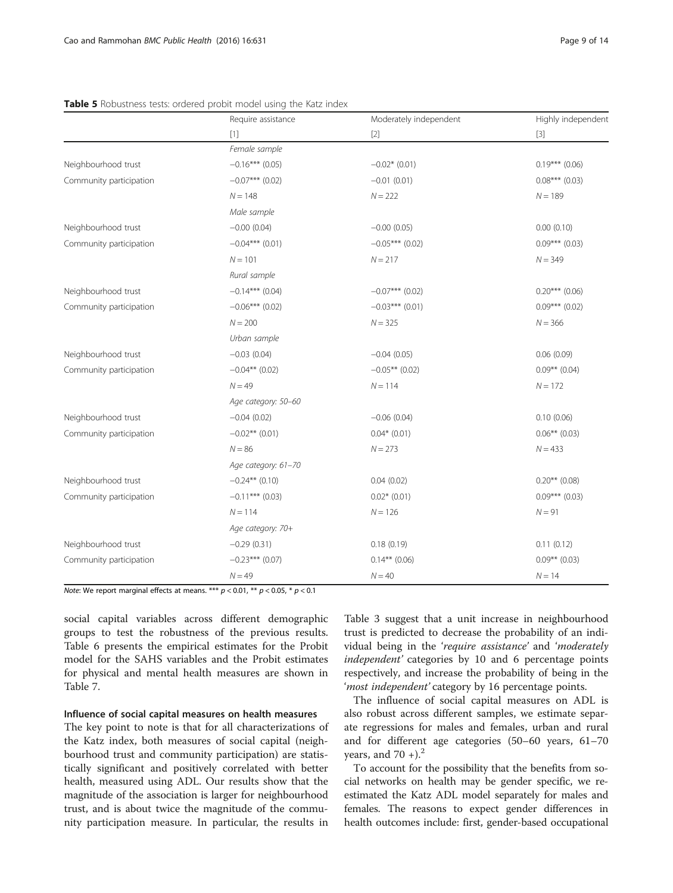|                         | Require assistance  | Moderately independent | Highly independent |
|-------------------------|---------------------|------------------------|--------------------|
|                         | $[1]$               | $[2]$                  | $[3]$              |
|                         | Female sample       |                        |                    |
| Neighbourhood trust     | $-0.16***$ (0.05)   | $-0.02*(0.01)$         | $0.19***$ (0.06)   |
| Community participation | $-0.07***$ (0.02)   | $-0.01(0.01)$          | $0.08***$ (0.03)   |
|                         | $N = 148$           | $N = 222$              | $N = 189$          |
|                         | Male sample         |                        |                    |
| Neighbourhood trust     | $-0.00$ (0.04)      | $-0.00$ (0.05)         | 0.00(0.10)         |
| Community participation | $-0.04***$ (0.01)   | $-0.05***$ (0.02)      | $0.09***$ (0.03)   |
|                         | $N = 101$           | $N = 217$              | $N = 349$          |
|                         | Rural sample        |                        |                    |
| Neighbourhood trust     | $-0.14***$ (0.04)   | $-0.07***$ (0.02)      | $0.20***$ (0.06)   |
| Community participation | $-0.06***$ (0.02)   | $-0.03***$ (0.01)      | $0.09***$ (0.02)   |
|                         | $N = 200$           | $N = 325$              | $N = 366$          |
|                         | Urban sample        |                        |                    |
| Neighbourhood trust     | $-0.03(0.04)$       | $-0.04(0.05)$          | 0.06(0.09)         |
| Community participation | $-0.04***$ (0.02)   | $-0.05***$ (0.02)      | $0.09***$ (0.04)   |
|                         | $N = 49$            | $N = 114$              | $N = 172$          |
|                         | Age category: 50-60 |                        |                    |
| Neighbourhood trust     | $-0.04(0.02)$       | $-0.06(0.04)$          | 0.10(0.06)         |
| Community participation | $-0.02**$ (0.01)    | $0.04*$ (0.01)         | $0.06***$ (0.03)   |
|                         | $N = 86$            | $N = 273$              | $N = 433$          |
|                         | Age category: 61-70 |                        |                    |
| Neighbourhood trust     | $-0.24**$ (0.10)    | 0.04(0.02)             | $0.20***$ (0.08)   |
| Community participation | $-0.11***$ (0.03)   | $0.02*$ (0.01)         | $0.09***$ (0.03)   |
|                         | $N = 114$           | $N = 126$              | $N = 91$           |
|                         | Age category: 70+   |                        |                    |
| Neighbourhood trust     | $-0.29(0.31)$       | 0.18(0.19)             | 0.11(0.12)         |
| Community participation | $-0.23***$ (0.07)   | $0.14***$ (0.06)       | $0.09***$ (0.03)   |
|                         | $N = 49$            | $N = 40$               | $N = 14$           |

#### <span id="page-8-0"></span>**Table 5** Robustness tests: ordered probit model using the Katz index

Note: We report marginal effects at means. \*\*\*  $p < 0.01$ , \*\*  $p < 0.05$ , \*  $p < 0.1$ 

social capital variables across different demographic groups to test the robustness of the previous results. Table [6](#page-9-0) presents the empirical estimates for the Probit model for the SAHS variables and the Probit estimates for physical and mental health measures are shown in Table [7.](#page-10-0)

## Influence of social capital measures on health measures

The key point to note is that for all characterizations of the Katz index, both measures of social capital (neighbourhood trust and community participation) are statistically significant and positively correlated with better health, measured using ADL. Our results show that the magnitude of the association is larger for neighbourhood trust, and is about twice the magnitude of the community participation measure. In particular, the results in

Table [3](#page-6-0) suggest that a unit increase in neighbourhood trust is predicted to decrease the probability of an individual being in the 'require assistance' and 'moderately independent' categories by 10 and 6 percentage points respectively, and increase the probability of being in the 'most independent' category by 16 percentage points.

The influence of social capital measures on ADL is also robust across different samples, we estimate separate regressions for males and females, urban and rural and for different age categories (50–60 years, 61–70 years, and  $70 +$ ).<sup>2</sup>

To account for the possibility that the benefits from social networks on health may be gender specific, we reestimated the Katz ADL model separately for males and females. The reasons to expect gender differences in health outcomes include: first, gender-based occupational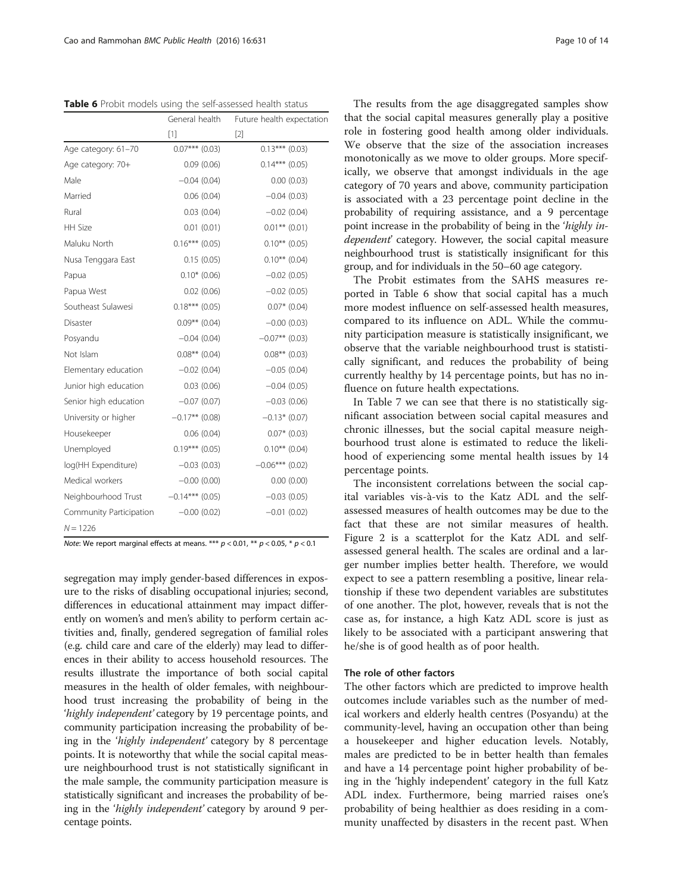<span id="page-9-0"></span>Table 6 Probit models using the self-assessed health status

|                         | General health    | Future health expectation |
|-------------------------|-------------------|---------------------------|
|                         | $[1]$             | $[2]$                     |
| Age category: 61-70     | $0.07***$ (0.03)  | $0.13***$ (0.03)          |
| Age category: 70+       | 0.09(0.06)        | $0.14***$ (0.05)          |
| Male                    | $-0.04(0.04)$     | 0.00(0.03)                |
| Married                 | 0.06(0.04)        | $-0.04(0.03)$             |
| Rural                   | 0.03(0.04)        | $-0.02$ (0.04)            |
| <b>HH Size</b>          | 0.01(0.01)        | $0.01***$ (0.01)          |
| Maluku North            | $0.16***$ (0.05)  | $0.10***$ (0.05)          |
| Nusa Tenggara East      | 0.15(0.05)        | $0.10***$ (0.04)          |
| Papua                   | $0.10*$ (0.06)    | $-0.02(0.05)$             |
| Papua West              | 0.02(0.06)        | $-0.02$ (0.05)            |
| Southeast Sulawesi      | $0.18***$ (0.05)  | $0.07*$ (0.04)            |
| Disaster                | $0.09***$ (0.04)  | $-0.00$ (0.03)            |
| Posyandu                | $-0.04(0.04)$     | $-0.07**$ (0.03)          |
| Not Islam               | $0.08***$ (0.04)  | $0.08***$ (0.03)          |
| Elementary education    | $-0.02$ (0.04)    | $-0.05(0.04)$             |
| Junior high education   | 0.03(0.06)        | $-0.04(0.05)$             |
| Senior high education   | $-0.07(0.07)$     | $-0.03(0.06)$             |
| University or higher    | $-0.17**$ (0.08)  | $-0.13*$ (0.07)           |
| Housekeeper             | 0.06(0.04)        | $0.07*$ (0.03)            |
| Unemployed              | $0.19***$ (0.05)  | $0.10***$ (0.04)          |
| log(HH Expenditure)     | $-0.03(0.03)$     | $-0.06***$ (0.02)         |
| Medical workers         | $-0.00$ (0.00)    | 0.00(0.00)                |
| Neighbourhood Trust     | $-0.14***$ (0.05) | $-0.03(0.05)$             |
| Community Participation | $-0.00$ (0.02)    | $-0.01$ (0.02)            |
| $N = 1226$              |                   |                           |

Note: We report marginal effects at means. \*\*\*  $p < 0.01$ , \*\*  $p < 0.05$ , \*  $p < 0.1$ 

segregation may imply gender-based differences in exposure to the risks of disabling occupational injuries; second, differences in educational attainment may impact differently on women's and men's ability to perform certain activities and, finally, gendered segregation of familial roles (e.g. child care and care of the elderly) may lead to differences in their ability to access household resources. The results illustrate the importance of both social capital measures in the health of older females, with neighbourhood trust increasing the probability of being in the 'highly independent' category by 19 percentage points, and community participation increasing the probability of being in the 'highly independent' category by 8 percentage points. It is noteworthy that while the social capital measure neighbourhood trust is not statistically significant in the male sample, the community participation measure is statistically significant and increases the probability of being in the 'highly independent' category by around 9 percentage points.

The results from the age disaggregated samples show that the social capital measures generally play a positive role in fostering good health among older individuals. We observe that the size of the association increases monotonically as we move to older groups. More specifically, we observe that amongst individuals in the age category of 70 years and above, community participation is associated with a 23 percentage point decline in the probability of requiring assistance, and a 9 percentage point increase in the probability of being in the 'highly independent' category. However, the social capital measure neighbourhood trust is statistically insignificant for this group, and for individuals in the 50–60 age category.

The Probit estimates from the SAHS measures reported in Table 6 show that social capital has a much more modest influence on self-assessed health measures, compared to its influence on ADL. While the community participation measure is statistically insignificant, we observe that the variable neighbourhood trust is statistically significant, and reduces the probability of being currently healthy by 14 percentage points, but has no influence on future health expectations.

In Table [7](#page-10-0) we can see that there is no statistically significant association between social capital measures and chronic illnesses, but the social capital measure neighbourhood trust alone is estimated to reduce the likelihood of experiencing some mental health issues by 14 percentage points.

The inconsistent correlations between the social capital variables vis-à-vis to the Katz ADL and the selfassessed measures of health outcomes may be due to the fact that these are not similar measures of health. Figure [2](#page-12-0) is a scatterplot for the Katz ADL and selfassessed general health. The scales are ordinal and a larger number implies better health. Therefore, we would expect to see a pattern resembling a positive, linear relationship if these two dependent variables are substitutes of one another. The plot, however, reveals that is not the case as, for instance, a high Katz ADL score is just as likely to be associated with a participant answering that he/she is of good health as of poor health.

# The role of other factors

The other factors which are predicted to improve health outcomes include variables such as the number of medical workers and elderly health centres (Posyandu) at the community-level, having an occupation other than being a housekeeper and higher education levels. Notably, males are predicted to be in better health than females and have a 14 percentage point higher probability of being in the 'highly independent' category in the full Katz ADL index. Furthermore, being married raises one's probability of being healthier as does residing in a community unaffected by disasters in the recent past. When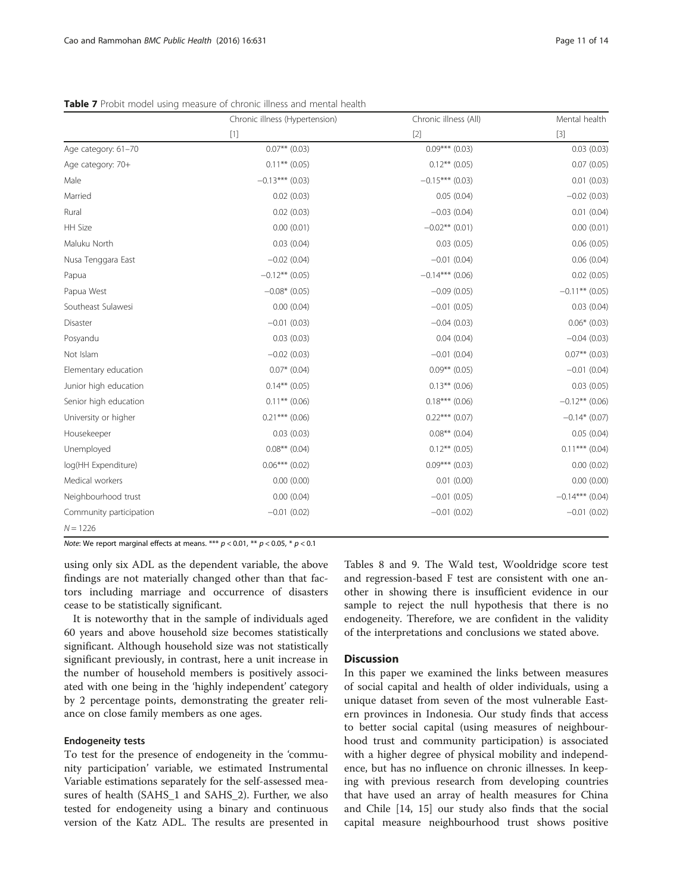|                         | Chronic illness (Hypertension) | Chronic illness (All) | Mental health     |
|-------------------------|--------------------------------|-----------------------|-------------------|
|                         | $[1]$                          | $[2]$                 | $[3]$             |
| Age category: 61-70     | $0.07***$ (0.03)               | $0.09***$ (0.03)      | 0.03(0.03)        |
| Age category: 70+       | $0.11***$ (0.05)               | $0.12***$ (0.05)      | 0.07(0.05)        |
| Male                    | $-0.13***$ (0.03)              | $-0.15***$ (0.03)     | 0.01(0.03)        |
| Married                 | 0.02(0.03)                     | 0.05(0.04)            | $-0.02$ (0.03)    |
| Rural                   | 0.02(0.03)                     | $-0.03(0.04)$         | 0.01(0.04)        |
| HH Size                 | 0.00(0.01)                     | $-0.02***$ (0.01)     | 0.00(0.01)        |
| Maluku North            | 0.03(0.04)                     | 0.03(0.05)            | 0.06(0.05)        |
| Nusa Tenggara East      | $-0.02(0.04)$                  | $-0.01(0.04)$         | 0.06(0.04)        |
| Papua                   | $-0.12***$ (0.05)              | $-0.14***$ (0.06)     | 0.02(0.05)        |
| Papua West              | $-0.08*$ (0.05)                | $-0.09(0.05)$         | $-0.11***$ (0.05) |
| Southeast Sulawesi      | 0.00(0.04)                     | $-0.01(0.05)$         | 0.03(0.04)        |
| Disaster                | $-0.01(0.03)$                  | $-0.04(0.03)$         | $0.06*$ (0.03)    |
| Posyandu                | 0.03(0.03)                     | 0.04(0.04)            | $-0.04(0.03)$     |
| Not Islam               | $-0.02(0.03)$                  | $-0.01(0.04)$         | $0.07**$ (0.03)   |
| Elementary education    | $0.07*$ (0.04)                 | $0.09***$ (0.05)      | $-0.01(0.04)$     |
| Junior high education   | $0.14***$ (0.05)               | $0.13***$ (0.06)      | 0.03(0.05)        |
| Senior high education   | $0.11***$ (0.06)               | $0.18***$ (0.06)      | $-0.12***$ (0.06) |
| University or higher    | $0.21***$ (0.06)               | $0.22***$ (0.07)      | $-0.14*(0.07)$    |
| Housekeeper             | 0.03(0.03)                     | $0.08***$ (0.04)      | 0.05(0.04)        |
| Unemployed              | $0.08**$ (0.04)                | $0.12***$ (0.05)      | $0.11***$ (0.04)  |
| log(HH Expenditure)     | $0.06***$ (0.02)               | $0.09***$ (0.03)      | 0.00(0.02)        |
| Medical workers         | 0.00(0.00)                     | 0.01(0.00)            | 0.00(0.00)        |
| Neighbourhood trust     | 0.00(0.04)                     | $-0.01(0.05)$         | $-0.14***$ (0.04) |
| Community participation | $-0.01(0.02)$                  | $-0.01(0.02)$         | $-0.01(0.02)$     |
| $N = 1226$              |                                |                       |                   |

<span id="page-10-0"></span>Table 7 Probit model using measure of chronic illness and mental health

Note: We report marginal effects at means. \*\*\*  $p < 0.01$ , \*\*  $p < 0.05$ , \*  $p < 0.1$ 

using only six ADL as the dependent variable, the above findings are not materially changed other than that factors including marriage and occurrence of disasters cease to be statistically significant.

It is noteworthy that in the sample of individuals aged 60 years and above household size becomes statistically significant. Although household size was not statistically significant previously, in contrast, here a unit increase in the number of household members is positively associated with one being in the 'highly independent' category by 2 percentage points, demonstrating the greater reliance on close family members as one ages.

#### Endogeneity tests

To test for the presence of endogeneity in the 'community participation' variable, we estimated Instrumental Variable estimations separately for the self-assessed measures of health (SAHS\_1 and SAHS\_2). Further, we also tested for endogeneity using a binary and continuous version of the Katz ADL. The results are presented in

Tables [8](#page-11-0) and [9](#page-11-0). The Wald test, Wooldridge score test and regression-based F test are consistent with one another in showing there is insufficient evidence in our sample to reject the null hypothesis that there is no endogeneity. Therefore, we are confident in the validity of the interpretations and conclusions we stated above.

# **Discussion**

In this paper we examined the links between measures of social capital and health of older individuals, using a unique dataset from seven of the most vulnerable Eastern provinces in Indonesia. Our study finds that access to better social capital (using measures of neighbourhood trust and community participation) is associated with a higher degree of physical mobility and independence, but has no influence on chronic illnesses. In keeping with previous research from developing countries that have used an array of health measures for China and Chile [[14](#page-13-0), [15\]](#page-13-0) our study also finds that the social capital measure neighbourhood trust shows positive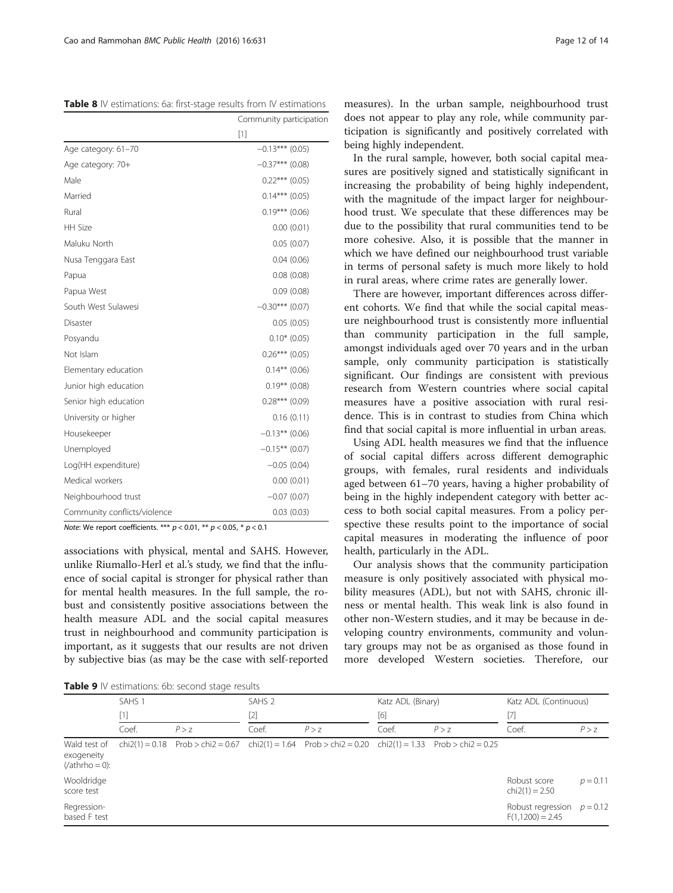<span id="page-11-0"></span>Table 8 IV estimations: 6a: first-stage results from IV estimations

|                              | Community participation |
|------------------------------|-------------------------|
|                              | $[1]$                   |
| Age category: 61-70          | $-0.13***$ (0.05)       |
| Age category: 70+            | $-0.37***$ (0.08)       |
| Male                         | $0.22***$ (0.05)        |
| Married                      | $0.14***$ (0.05)        |
| Rural                        | $0.19***$ (0.06)        |
| HH Size                      | 0.00(0.01)              |
| Maluku North                 | 0.05(0.07)              |
| Nusa Tenggara East           | 0.04(0.06)              |
| Papua                        | 0.08(0.08)              |
| Papua West                   | 0.09(0.08)              |
| South West Sulawesi          | $-0.30***$ (0.07)       |
| Disaster                     | 0.05(0.05)              |
| Posyandu                     | $0.10*$ (0.05)          |
| Not Islam                    | $0.26***$ (0.05)        |
| Elementary education         | $0.14***$ (0.06)        |
| Junior high education        | $0.19***$ (0.08)        |
| Senior high education        | $0.28***$ (0.09)        |
| University or higher         | 0.16(0.11)              |
| Housekeeper                  | $-0.13***$ (0.06)       |
| Unemployed                   | $-0.15***$ (0.07)       |
| Log(HH expenditure)          | $-0.05(0.04)$           |
| Medical workers              | 0.00(0.01)              |
| Neighbourhood trust          | $-0.07(0.07)$           |
| Community conflicts/violence | 0.03(0.03)              |

Note: We report coefficients. \*\*\*  $p < 0.01$ , \*\*  $p < 0.05$ , \*  $p < 0.1$ 

associations with physical, mental and SAHS. However, unlike Riumallo-Herl et al.'s study, we find that the influence of social capital is stronger for physical rather than for mental health measures. In the full sample, the robust and consistently positive associations between the health measure ADL and the social capital measures trust in neighbourhood and community participation is important, as it suggests that our results are not driven by subjective bias (as may be the case with self-reported

measures). In the urban sample, neighbourhood trust does not appear to play any role, while community participation is significantly and positively correlated with being highly independent.

In the rural sample, however, both social capital measures are positively signed and statistically significant in increasing the probability of being highly independent, with the magnitude of the impact larger for neighbourhood trust. We speculate that these differences may be due to the possibility that rural communities tend to be more cohesive. Also, it is possible that the manner in which we have defined our neighbourhood trust variable in terms of personal safety is much more likely to hold in rural areas, where crime rates are generally lower.

There are however, important differences across different cohorts. We find that while the social capital measure neighbourhood trust is consistently more influential than community participation in the full sample, amongst individuals aged over 70 years and in the urban sample, only community participation is statistically significant. Our findings are consistent with previous research from Western countries where social capital measures have a positive association with rural residence. This is in contrast to studies from China which find that social capital is more influential in urban areas.

Using ADL health measures we find that the influence of social capital differs across different demographic groups, with females, rural residents and individuals aged between 61–70 years, having a higher probability of being in the highly independent category with better access to both social capital measures. From a policy perspective these results point to the importance of social capital measures in moderating the influence of poor health, particularly in the ADL.

Our analysis shows that the community participation measure is only positively associated with physical mobility measures (ADL), but not with SAHS, chronic illness or mental health. This weak link is also found in other non-Western studies, and it may be because in developing country environments, community and voluntary groups may not be as organised as those found in more developed Western societies. Therefore, our

Table 9 IV estimations: 6b: second stage results

|                                          |                   | <b>TUDIE 3</b> IV COMMUNIOUS, OD, SCCOTIO Stage Testales                                                           |                   |       |                   |       |                                         |            |
|------------------------------------------|-------------------|--------------------------------------------------------------------------------------------------------------------|-------------------|-------|-------------------|-------|-----------------------------------------|------------|
|                                          | SAHS <sub>1</sub> |                                                                                                                    | SAHS <sub>2</sub> |       | Katz ADL (Binary) |       | Katz ADL (Continuous)                   |            |
|                                          | [1]               |                                                                                                                    | [2]               | [6]   |                   | [7]   |                                         |            |
|                                          | Coef.             | P > 7                                                                                                              | Coef.             | P > 7 | Coef.             | P > 7 | Coef.                                   | P > Z      |
| exogeneity<br>$\mathcal{U}$ athrho = 0): |                   | Wald test of chi2(1) = 0.18 Prob > chi2 = 0.67 chi2(1) = 1.64 Prob > chi2 = 0.20 chi2(1) = 1.33 Prob > chi2 = 0.25 |                   |       |                   |       |                                         |            |
| Wooldridge<br>score test                 |                   |                                                                                                                    |                   |       |                   |       | Robust score<br>$chi2(1) = 2.50$        | $p = 0.11$ |
| Regression-<br>based F test              |                   |                                                                                                                    |                   |       |                   |       | Robust regression<br>$F(1,1200) = 2.45$ | $p = 0.12$ |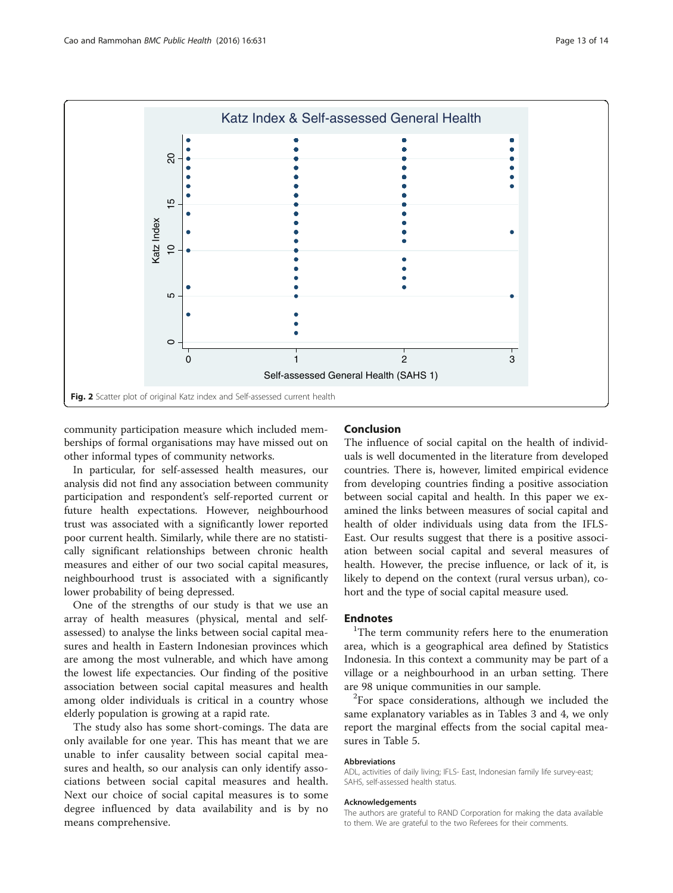<span id="page-12-0"></span>

community participation measure which included memberships of formal organisations may have missed out on other informal types of community networks.

In particular, for self-assessed health measures, our analysis did not find any association between community participation and respondent's self-reported current or future health expectations. However, neighbourhood trust was associated with a significantly lower reported poor current health. Similarly, while there are no statistically significant relationships between chronic health measures and either of our two social capital measures, neighbourhood trust is associated with a significantly lower probability of being depressed.

One of the strengths of our study is that we use an array of health measures (physical, mental and selfassessed) to analyse the links between social capital measures and health in Eastern Indonesian provinces which are among the most vulnerable, and which have among the lowest life expectancies. Our finding of the positive association between social capital measures and health among older individuals is critical in a country whose elderly population is growing at a rapid rate.

The study also has some short-comings. The data are only available for one year. This has meant that we are unable to infer causality between social capital measures and health, so our analysis can only identify associations between social capital measures and health. Next our choice of social capital measures is to some degree influenced by data availability and is by no means comprehensive.

# Conclusion

The influence of social capital on the health of individuals is well documented in the literature from developed countries. There is, however, limited empirical evidence from developing countries finding a positive association between social capital and health. In this paper we examined the links between measures of social capital and health of older individuals using data from the IFLS-East. Our results suggest that there is a positive association between social capital and several measures of health. However, the precise influence, or lack of it, is likely to depend on the context (rural versus urban), cohort and the type of social capital measure used.

# **Endnotes**

<sup>1</sup>The term community refers here to the enumeration area, which is a geographical area defined by Statistics Indonesia. In this context a community may be part of a village or a neighbourhood in an urban setting. There are 98 unique communities in our sample. <sup>2</sup>

<sup>2</sup>For space considerations, although we included the same explanatory variables as in Tables [3](#page-6-0) and [4](#page-7-0), we only report the marginal effects from the social capital measures in Table [5](#page-8-0).

# Abbreviations

ADL, activities of daily living; IFLS- East, Indonesian family life survey-east; SAHS, self-assessed health status.

#### Acknowledgements

The authors are grateful to RAND Corporation for making the data available to them. We are grateful to the two Referees for their comments.